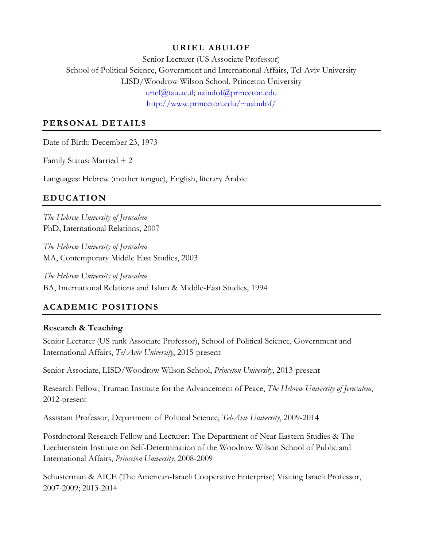## **URIEL ABULOF**

Senior Lecturer (US Associate Professor) School of Political Science, Government and International Affairs, Tel-Aviv University LISD/Woodrow Wilson School, Princeton University [uriel@tau.ac.il;](mailto:uriel@tau.ac.il) [uabulof@princeton.edu](mailto:uabulof@princeton.edu) [http://www.princeton.edu/~uabulof/](http://www.princeton.edu/%7Euabulof/)

## **PERSONAL DETAILS**

Date of Birth: December 23, 1973

Family Status: Married + 2

Languages: Hebrew (mother tongue), English, literary Arabic

# **EDUCATION**

*The Hebrew University of Jerusalem* PhD, International Relations, 2007

*The Hebrew University of Jerusalem* MA, Contemporary Middle East Studies, 2003

*The Hebrew University of Jerusalem* BA, International Relations and Islam & Middle-East Studies, 1994

# **ACADEMIC POSITIONS**

## **Research & Teaching**

Senior Lecturer (US rank Associate Professor), School of Political Science, Government and International Affairs, *Tel-Aviv University*, 2015-present

Senior Associate, LISD/Woodrow Wilson School, *Princeton University*, 2013-present

Research Fellow, Truman Institute for the Advancement of Peace, *The Hebrew University of Jerusalem*, 2012-present

Assistant Professor, Department of Political Science, *Tel-Aviv University*, 2009-2014

Postdoctoral Research Fellow and Lecturer: The Department of Near Eastern Studies & The Liechtenstein Institute on Self-Determination of the Woodrow Wilson School of Public and International Affairs, *Princeton University*, 2008-2009

Schusterman & AICE (The American-Israeli Cooperative Enterprise) Visiting Israeli Professor, 2007-2009; 2013-2014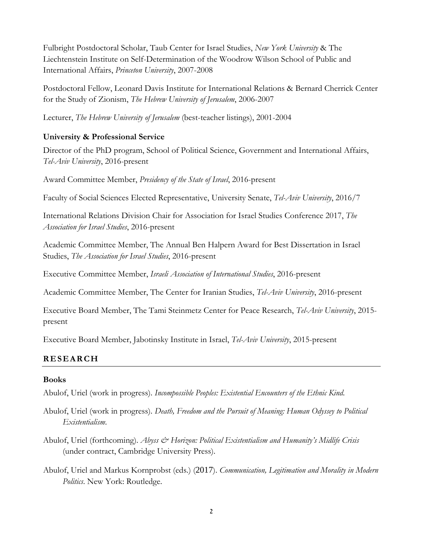Fulbright Postdoctoral Scholar, Taub Center for Israel Studies, *New York University* & The Liechtenstein Institute on Self-Determination of the Woodrow Wilson School of Public and International Affairs, *Princeton University*, 2007-2008

Postdoctoral Fellow, Leonard Davis Institute for International Relations & Bernard Cherrick Center for the Study of Zionism, *The Hebrew University of Jerusalem*, 2006-2007

Lecturer, *The Hebrew University of Jerusalem* (best-teacher listings), 2001-2004

## **University & Professional Service**

Director of the PhD program, School of Political Science, Government and International Affairs, *Tel-Aviv University*, 2016-present

Award Committee Member, *Presidency of the State of Israel*, 2016-present

Faculty of Social Sciences Elected Representative, University Senate, *Tel-Aviv University*, 2016/7

International Relations Division Chair for Association for Israel Studies Conference 2017, *The Association for Israel Studies*, 2016-present

Academic Committee Member, The Annual Ben Halpern Award for Best Dissertation in Israel Studies, *The Association for Israel Studies*, 2016-present

Executive Committee Member, *Israeli Association of International Studies*, 2016-present

Academic Committee Member, The Center for Iranian Studies, *Tel-Aviv University*, 2016-present

Executive Board Member, The Tami Steinmetz Center for Peace Research, *Tel-Aviv University*, 2015 present

Executive Board Member, Jabotinsky Institute in Israel, *Tel-Aviv University*, 2015-present

## **RESEARCH**

## **Books**

Abulof, Uriel (work in progress). *Incompossible Peoples: Existential Encounters of the Ethnic Kind*.

- Abulof, Uriel (work in progress). *Death, Freedom and the Pursuit of Meaning: Human Odyssey to Political Existentialism*.
- Abulof, Uriel (forthcoming). *Abyss & Horizon: Political Existentialism and Humanity's Midlife Crisis* (under contract, Cambridge University Press).
- Abulof, Uriel and Markus Kornprobst (eds.) (2017). *Communication, Legitimation and Morality in Modern Politics*. New York: Routledge.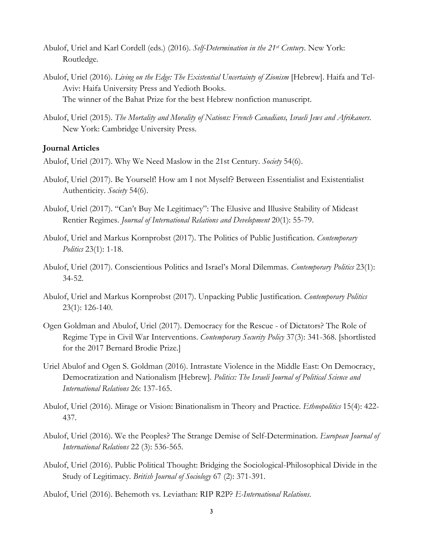- Abulof, Uriel and Karl Cordell (eds.) (2016). *Self-Determination in the 21st Century*. New York: Routledge.
- Abulof, Uriel (2016). *Living on the Edge: The Existential Uncertainty of Zionism* [Hebrew]. Haifa and Tel-Aviv: Haifa University Press and Yedioth Books. The winner of the Bahat Prize for the best Hebrew nonfiction manuscript.
- Abulof, Uriel (2015). *The Mortality and Morality of Nations: French Canadians, Israeli Jews and Afrikaners*. New York: Cambridge University Press.

#### **Journal Articles**

- Abulof, Uriel (2017). Why We Need Maslow in the 21st Century. *Society* 54(6).
- Abulof, Uriel (2017). Be Yourself! How am I not Myself? Between Essentialist and Existentialist Authenticity. *Society* 54(6).
- Abulof, Uriel (2017). "Can't Buy Me Legitimacy": The Elusive and Illusive Stability of Mideast Rentier Regimes. *Journal of International Relations and Development* 20(1): 55-79.
- Abulof, Uriel and Markus Kornprobst (2017). The Politics of Public Justification. *Contemporary Politics* 23(1): 1-18.
- Abulof, Uriel (2017). Conscientious Politics and Israel's Moral Dilemmas. *Contemporary Politics* 23(1): 34-52.
- Abulof, Uriel and Markus Kornprobst (2017). Unpacking Public Justification. *Contemporary Politics* 23(1): 126-140.
- Ogen Goldman and Abulof, Uriel (2017). Democracy for the Rescue of Dictators? The Role of Regime Type in Civil War Interventions. *Contemporary Security Policy* 37(3): 341-368. [shortlisted for the 2017 Bernard Brodie Prize.]
- Uriel Abulof and Ogen S. Goldman (2016). Intrastate Violence in the Middle East: On Democracy, Democratization and Nationalism [Hebrew]. *Politics: The Israeli Journal of Political Science and International Relations* 26: 137-165.
- Abulof, Uriel (2016). Mirage or Vision: Binationalism in Theory and Practice. *Ethnopolitics* 15(4): 422- 437.
- Abulof, Uriel (2016). We the Peoples? The Strange Demise of Self-Determination. *European Journal of International Relations* 22 (3): 536-565.
- Abulof, Uriel (2016). Public Political Thought: Bridging the Sociological-Philosophical Divide in the Study of Legitimacy. *British Journal of Sociology* 67 (2): 371-391.
- Abulof, Uriel (2016). Behemoth vs. Leviathan: RIP R2P? *E-International Relations*.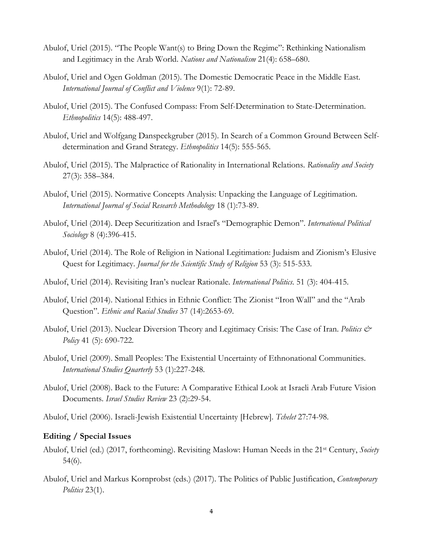- Abulof, Uriel (2015). "The People Want(s) to Bring Down the Regime": Rethinking Nationalism and Legitimacy in the Arab World. *Nations and Nationalism* 21(4): 658–680.
- Abulof, Uriel and Ogen Goldman (2015). The Domestic Democratic Peace in the Middle East. *International Journal of Conflict and Violence* 9(1): 72-89.
- Abulof, Uriel (2015). The Confused Compass: From Self-Determination to State-Determination. *Ethnopolitics* 14(5): 488-497.
- Abulof, Uriel and Wolfgang Danspeckgruber (2015). In Search of a Common Ground Between Selfdetermination and Grand Strategy. *Ethnopolitics* 14(5): 555-565.
- Abulof, Uriel (2015). The Malpractice of Rationality in International Relations. *Rationality and Society* 27(3): 358–384.
- Abulof, Uriel (2015). Normative Concepts Analysis: Unpacking the Language of Legitimation. *International Journal of Social Research Methodology* 18 (1):73-89.
- Abulof, Uriel (2014). Deep Securitization and Israel's "Demographic Demon". *International Political Sociology* 8 (4):396-415.
- Abulof, Uriel (2014). The Role of Religion in National Legitimation: Judaism and Zionism's Elusive Quest for Legitimacy. *Journal for the Scientific Study of Religion* 53 (3): 515-533.
- Abulof, Uriel (2014). Revisiting Iran's nuclear Rationale. *International Politics*. 51 (3): 404-415.
- Abulof, Uriel (2014). National Ethics in Ethnic Conflict: The Zionist "Iron Wall" and the "Arab Question". *Ethnic and Racial Studies* 37 (14):2653-69.
- Abulof, Uriel (2013). Nuclear Diversion Theory and Legitimacy Crisis: The Case of Iran. *Politics & Policy* 41 (5): 690-722.
- Abulof, Uriel (2009). Small Peoples: The Existential Uncertainty of Ethnonational Communities. *International Studies Quarterly* 53 (1):227-248.
- Abulof, Uriel (2008). Back to the Future: A Comparative Ethical Look at Israeli Arab Future Vision Documents. *Israel Studies Review* 23 (2):29-54.
- Abulof, Uriel (2006). Israeli-Jewish Existential Uncertainty [Hebrew]. *Tchelet* 27:74-98.

#### **Editing / Special Issues**

- Abulof, Uriel (ed.) (2017, forthcoming). Revisiting Maslow: Human Needs in the 21st Century, *Society* 54(6).
- Abulof, Uriel and Markus Kornprobst (eds.) (2017). The Politics of Public Justification, *Contemporary Politics* 23(1).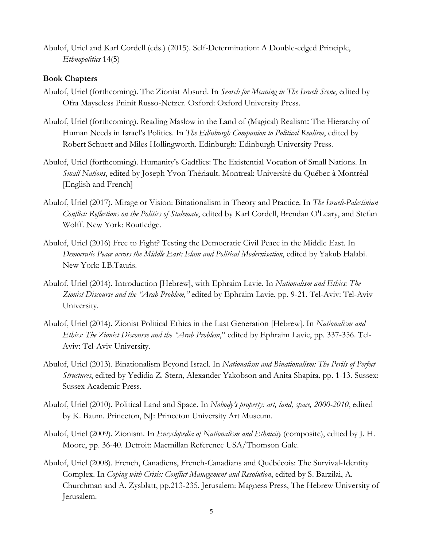Abulof, Uriel and Karl Cordell (eds.) (2015). Self-Determination: A Double-edged Principle, *Ethnopolitics* 14(5)

### **Book Chapters**

- Abulof, Uriel (forthcoming). The Zionist Absurd. In *Search for Meaning in The Israeli Scene*, edited by Ofra Mayseless Pninit Russo-Netzer. Oxford: Oxford University Press.
- Abulof, Uriel (forthcoming). Reading Maslow in the Land of (Magical) Realism: The Hierarchy of Human Needs in Israel's Politics. In *The Edinburgh Companion to Political Realism*, edited by Robert Schuett and Miles Hollingworth. Edinburgh: Edinburgh University Press.
- Abulof, Uriel (forthcoming). Humanity's Gadflies: The Existential Vocation of Small Nations. In *Small Nations*, edited by Joseph Yvon Thériault. Montreal: Université du Québec à Montréal [English and French]
- Abulof, Uriel (2017). Mirage or Vision: Binationalism in Theory and Practice. In *The Israeli-Palestinian Conflict: Reflections on the Politics of Stalemate*, edited by Karl Cordell, Brendan O'Leary, and Stefan Wolff. New York: Routledge.
- Abulof, Uriel (2016) Free to Fight? Testing the Democratic Civil Peace in the Middle East. In *Democratic Peace across the Middle East: Islam and Political Modernisation*, edited by Yakub Halabi. New York: I.B.Tauris.
- Abulof, Uriel (2014). Introduction [Hebrew], with Ephraim Lavie. In *Nationalism and Ethics: The Zionist Discourse and the "Arab Problem,"* edited by Ephraim Lavie, pp. 9-21. Tel-Aviv: Tel-Aviv University.
- Abulof, Uriel (2014). Zionist Political Ethics in the Last Generation [Hebrew]. In *Nationalism and Ethics: The Zionist Discourse and the "Arab Problem*," edited by Ephraim Lavie, pp. 337-356. Tel-Aviv: Tel-Aviv University.
- Abulof, Uriel (2013). Binationalism Beyond Israel. In *Nationalism and Binationalism: The Perils of Perfect Structures*, edited by Yedidia Z. Stern, Alexander Yakobson and Anita Shapira, pp. 1-13. Sussex: Sussex Academic Press.
- Abulof, Uriel (2010). Political Land and Space. In *Nobody's property: art, land, space, 2000-2010*, edited by K. Baum. Princeton, NJ: Princeton University Art Museum.
- Abulof, Uriel (2009). Zionism. In *Encyclopedia of Nationalism and Ethnicity* (composite), edited by J. H. Moore, pp. 36-40. Detroit: Macmillan Reference USA/Thomson Gale.
- Abulof, Uriel (2008). French, Canadiens, French-Canadians and Québécois: The Survival-Identity Complex. In *Coping with Crisis: Conflict Management and Resolution*, edited by S. Barzilai, A. Churchman and A. Zysblatt, pp.213-235. Jerusalem: Magness Press, The Hebrew University of Jerusalem.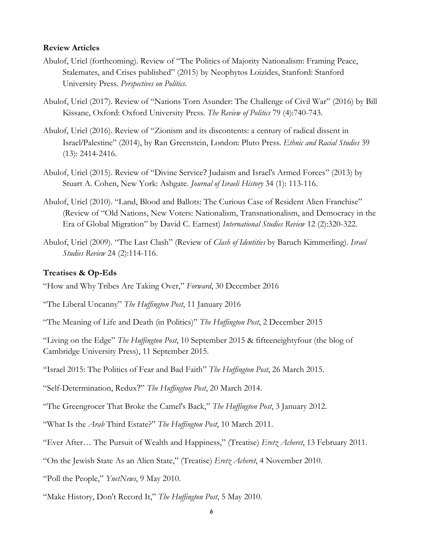#### **Review Articles**

- Abulof, Uriel (forthcoming). Review of "The Politics of Majority Nationalism: Framing Peace, Stalemates, and Crises published" (2015) by Neophytos Loizides, Stanford: Stanford University Press. *Perspectives on Politics*.
- Abulof, Uriel (2017). Review of "Nations Torn Asunder: The Challenge of Civil War" (2016) by Bill Kissane, Oxford: Oxford University Press. *The Review of Politics* 79 (4):740-743.
- Abulof, Uriel (2016). Review of "Zionism and its discontents: a century of radical dissent in Israel/Palestine" (2014), by Ran Greenstein, London: Pluto Press. *Ethnic and Racial Studies* 39 (13): 2414-2416.
- Abulof, Uriel (2015). Review of "Divine Service? Judaism and Israel's Armed Forces" (2013) by Stuart A. Cohen, New York: Ashgate. *Journal of Israeli History* 34 (1): 113-116.
- Abulof, Uriel (2010). "Land, Blood and Ballots: The Curious Case of Resident Alien Franchise" (Review of "Old Nations, New Voters: Nationalism, Transnationalism, and Democracy in the Era of Global Migration" by David C. Earnest) *International Studies Review* 12 (2):320-322.
- Abulof, Uriel (2009). "The Last Clash" (Review of *Clash of Identities* by Baruch Kimmerling). *Israel Studies Review* 24 (2):114-116.

#### **Treatises & Op-Eds**

"How and Why Tribes Are Taking Over," *Forward*, 30 December 2016

"The Liberal Uncanny" *The Huffington Post*, 11 January 2016

"The Meaning of Life and Death (in Politics)" *The Huffington Post*, 2 December 2015

"Living on the Edge" *The Huffington Post*, 10 September 2015 & fifteeneightyfour (the blog of Cambridge University Press), 11 September 2015.

"Israel 2015: The Politics of Fear and Bad Faith" *The Huffington Post*, 26 March 2015.

"Self-Determination, Redux?" *The Huffington Post*, 20 March 2014.

"The Greengrocer That Broke the Camel's Back," *The Huffington Post*, 3 January 2012.

"What Is the *Arab* Third Estate?" *The Huffington Post*, 10 March 2011.

"Ever After… The Pursuit of Wealth and Happiness," (Treatise) *Eretz Acheret*, 13 February 2011.

"On the Jewish State As an Alien State," (Treatise) *Eretz Acheret*, 4 November 2010.

"Poll the People," *YnetNews*, 9 May 2010.

"Make History, Don't Record It," *The Huffington Post*, 5 May 2010.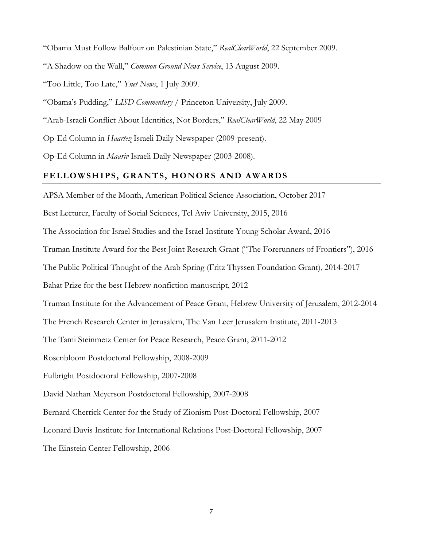"Obama Must Follow Balfour on Palestinian State," *RealClearWorld*, 22 September 2009.

"A Shadow on the Wall," *Common Ground News Service*, 13 August 2009.

"Too Little, Too Late," *Ynet News*, 1 July 2009.

"Obama's Pudding," *LISD Commentary* / Princeton University, July 2009.

"Arab-Israeli Conflict About Identities, Not Borders," *RealClearWorld*, 22 May 2009

Op-Ed Column in *Haartez* Israeli Daily Newspaper (2009-present).

Op-Ed Column in *Maariv* Israeli Daily Newspaper (2003-2008).

#### **FELLOWSHIPS, GRANTS, HONORS AND AWARDS**

APSA Member of the Month, American Political Science Association, October 2017

Best Lecturer, Faculty of Social Sciences, Tel Aviv University, 2015, 2016

The Association for Israel Studies and the Israel Institute Young Scholar Award, 2016

Truman Institute Award for the Best Joint Research Grant ("The Forerunners of Frontiers"), 2016

The Public Political Thought of the Arab Spring (Fritz Thyssen Foundation Grant), 2014-2017

Bahat Prize for the best Hebrew nonfiction manuscript, 2012

Truman Institute for the Advancement of Peace Grant, Hebrew University of Jerusalem, 2012-2014

The French Research Center in Jerusalem, The Van Leer Jerusalem Institute, 2011-2013

The Tami Steinmetz Center for Peace Research, Peace Grant, 2011-2012

Rosenbloom Postdoctoral Fellowship, 2008-2009

Fulbright Postdoctoral Fellowship, 2007-2008

David Nathan Meyerson Postdoctoral Fellowship, 2007-2008

Bernard Cherrick Center for the Study of Zionism Post-Doctoral Fellowship, 2007

Leonard Davis Institute for International Relations Post-Doctoral Fellowship, 2007

The Einstein Center Fellowship, 2006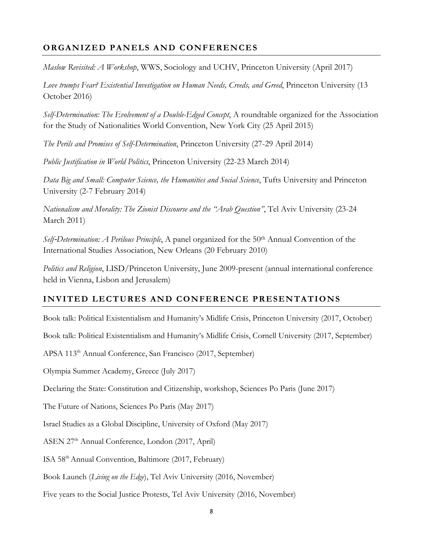# **ORGANIZED PANELS AND CONFERENCES**

*Maslow Revisited: A Workshop*, WWS, Sociology and UCHV, Princeton University (April 2017)

*Love trumps Fear? Existential Investigation on Human Needs, Creeds, and Greed*, Princeton University (13 October 2016)

*Self-Determination: The Evolvement of a Double-Edged Concept*, A roundtable organized for the Association for the Study of Nationalities World Convention, New York City (25 April 2015)

*The Perils and Promises of Self-Determination*, Princeton University (27-29 April 2014)

*Public Justification in World Politics*, Princeton University (22-23 March 2014)

*Data Big and Small: Computer Science, the Humanities and Social Science*, Tufts University and Princeton University (2-7 February 2014)

*Nationalism and Morality: The Zionist Discourse and the "Arab Question"*, Tel Aviv University (23-24 March 2011)

*Self-Determination: A Perilous Principle*, A panel organized for the 50<sup>th</sup> Annual Convention of the International Studies Association, New Orleans (20 February 2010)

*Politics and Religion*, LISD/Princeton University, June 2009-present (annual international conference held in Vienna, Lisbon and Jerusalem)

## **INVITED LECTURES AND CONFERENCE PRESENTATIONS**

Book talk: Political Existentialism and Humanity's Midlife Crisis, Princeton University (2017, October)

Book talk: Political Existentialism and Humanity's Midlife Crisis, Cornell University (2017, September)

APSA 113th Annual Conference, San Francisco (2017, September)

Olympia Summer Academy, Greece (July 2017)

Declaring the State: Constitution and Citizenship, workshop, Sciences Po Paris (June 2017)

The Future of Nations, Sciences Po Paris (May 2017)

Israel Studies as a Global Discipline, University of Oxford (May 2017)

ASEN 27th Annual Conference, London (2017, April)

ISA 58th Annual Convention, Baltimore (2017, February)

Book Launch (*Living on the Edge*), Tel Aviv University (2016, November)

Five years to the Social Justice Protests, Tel Aviv University (2016, November)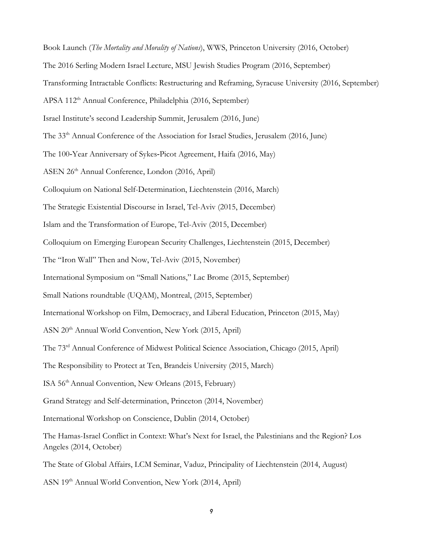Book Launch (*The Mortality and Morality of Nations*), WWS, Princeton University (2016, October) The 2016 Serling Modern Israel Lecture, MSU Jewish Studies Program (2016, September) Transforming Intractable Conflicts: Restructuring and Reframing, Syracuse University (2016, September) APSA 112th Annual Conference, Philadelphia (2016, September) Israel Institute's second Leadership Summit, Jerusalem (2016, June) The 33<sup>th</sup> Annual Conference of the Association for Israel Studies, Jerusalem (2016, June) The 100‐Year Anniversary of Sykes‐Picot Agreement, Haifa (2016, May) ASEN 26th Annual Conference, London (2016, April) Colloquium on National Self-Determination, Liechtenstein (2016, March) The Strategic Existential Discourse in Israel, Tel-Aviv (2015, December) Islam and the Transformation of Europe, Tel-Aviv (2015, December) Colloquium on Emerging European Security Challenges, Liechtenstein (2015, December) The "Iron Wall" Then and Now, Tel-Aviv (2015, November) [International Symposium on "Small Nations,"](http://www.cridaq.uqam.ca/la-question-des-petites-nations-culture-politique-et-universalite/) Lac Brome (2015, September) [Small Nations roundtable](http://www.princeton.edu/%7Euabulof/Small%20Nations%20roundtable.pdf) (UQAM), Montreal, (2015, September) International Workshop on Film, Democracy, and Liberal Education, Princeton (2015, May) ASN 20th Annual World Convention, New York (2015, April) The 73rd Annual Conference of Midwest Political Science Association, Chicago (2015, April) The Responsibility to Protect at Ten, Brandeis University (2015, March) ISA 56th Annual Convention, New Orleans (2015, February) Grand Strategy and Self-determination, Princeton (2014, November) International Workshop on Conscience, Dublin (2014, October) The Hamas-Israel Conflict in Context: What's Next for Israel, the Palestinians and the Region? Los Angeles (2014, October) The State of Global Affairs, LCM Seminar, Vaduz, Principality of Liechtenstein (2014, August)

ASN 19th Annual World Convention, New York (2014, April)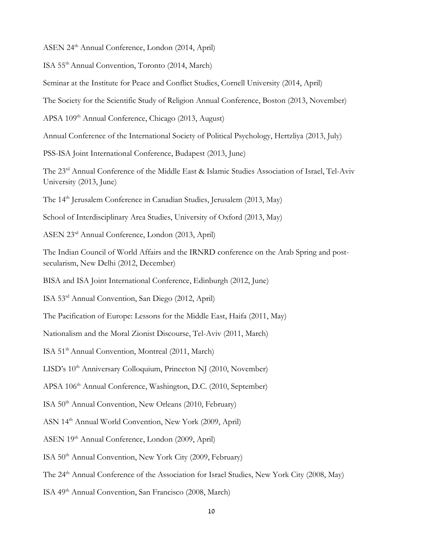ASEN 24th Annual Conference, London (2014, April)

ISA 55th Annual Convention, Toronto (2014, March)

Seminar at the Institute for Peace and Conflict Studies, Cornell University (2014, April)

The Society for the Scientific Study of Religion Annual Conference, Boston (2013, November)

APSA 109<sup>th</sup> Annual Conference, Chicago (2013, August)

Annual Conference of the International Society of Political Psychology, Hertzliya (2013, July)

PSS-ISA Joint International Conference, Budapest (2013, June)

The 23rd Annual Conference of the Middle East & Islamic Studies Association of Israel, Tel-Aviv University (2013, June)

The 14th Jerusalem Conference in Canadian Studies, Jerusalem (2013, May)

School of Interdisciplinary Area Studies, University of Oxford (2013, May)

ASEN 23rd Annual Conference, London (2013, April)

The Indian Council of World Affairs and the IRNRD conference on the Arab Spring and postsecularism, New Delhi (2012, December)

BISA and ISA Joint International Conference, Edinburgh (2012, June)

ISA 53rd Annual Convention, San Diego (2012, April)

The Pacification of Europe: Lessons for the Middle East, Haifa (2011, May)

Nationalism and the Moral Zionist Discourse, Tel-Aviv (2011, March)

ISA 51th Annual Convention, Montreal (2011, March)

LISD's 10<sup>th</sup> Anniversary Colloquium, Princeton NJ (2010, November)

APSA 106<sup>th</sup> Annual Conference, Washington, D.C. (2010, September)

ISA 50th Annual Convention, New Orleans (2010, February)

ASN 14th Annual World Convention, New York (2009, April)

ASEN 19th Annual Conference, London (2009, April)

ISA 50th Annual Convention, New York City (2009, February)

The 24<sup>th</sup> Annual Conference of the Association for Israel Studies, New York City (2008, May)

ISA 49th Annual Convention, San Francisco (2008, March)